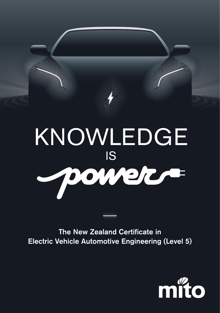

The New Zealand Certificate in Electric Vehicle Automotive Engineering (Level 5)

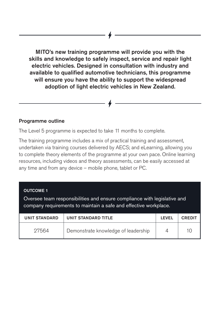MITO's new training programme will provide you with the skills and knowledge to safely inspect, service and repair light electric vehicles. Designed in consultation with industry and available to qualified automotive technicians, this programme will ensure you have the ability to support the widespread adoption of light electric vehicles in New Zealand.

### Programme outline

The Level 5 programme is expected to take 11 months to complete.

The training programme includes a mix of practical training and assessment, undertaken via training courses delivered by AECS; and eLearning, allowing you to complete theory elements of the programme at your own pace. Online learning resources, including videos and theory assessments, can be easily accessed at any time and from any device – mobile phone, tablet or PC.

#### OUTCOME 1

Oversee team responsibilities and ensure compliance with legislative and company requirements to maintain a safe and effective workplace.

| <b>UNIT STANDARD</b> | UNIT STANDARD TITLE                 | LEVEL | <b>CREDIT</b> |
|----------------------|-------------------------------------|-------|---------------|
| 27564                | Demonstrate knowledge of leadership |       |               |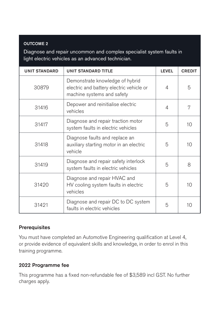#### OUTCOME 2

Diagnose and repair uncommon and complex specialist system faults in light electric vehicles as an advanced technician.

| <b>UNIT STANDARD</b> | <b>UNIT STANDARD TITLE</b>                                                                                | LEVEL | <b>CREDIT</b> |
|----------------------|-----------------------------------------------------------------------------------------------------------|-------|---------------|
| 30879                | Demonstrate knowledge of hybrid<br>electric and battery electric vehicle or<br>machine systems and safety | 4     | 5             |
| 31416                | Depower and reinitialise electric<br>vehicles                                                             | 4     | 7             |
| 31417                | Diagnose and repair traction motor<br>system faults in electric vehicles                                  | 5     | 10            |
| 31418                | Diagnose faults and replace an<br>auxiliary starting motor in an electric<br>vehicle                      | 5     | 10            |
| 31419                | Diagnose and repair safety interlock<br>system faults in electric vehicles                                | 5     | 8             |
| 31420                | Diagnose and repair HVAC and<br>HV cooling system faults in electric<br>vehicles                          | 5     | 10            |
| 31421                | Diagnose and repair DC to DC system<br>faults in electric vehicles                                        | 5     | 10            |

## **Prerequisites**

You must have completed an Automotive Engineering qualification at Level 4, or provide evidence of equivalent skills and knowledge, in order to enrol in this training programme.

## 2022 Programme fee

This programme has a fixed non-refundable fee of \$3,589 incl GST. No further charges apply.